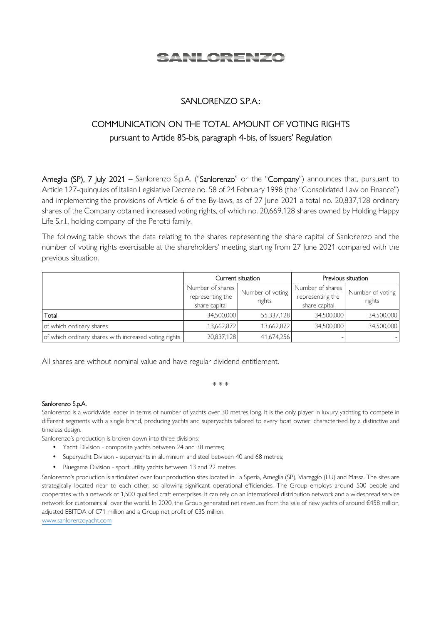# <u>SANLORENZO</u>

## SANLORENZO S.P.A.:

## COMMUNICATION ON THE TOTAL AMOUNT OF VOTING RIGHTS pursuant to Article 85-bis, paragraph 4-bis, of Issuers' Regulation

Ameglia (SP), 7 July 2021 – Sanlorenzo S.p.A. ("Sanlorenzo" or the "Company") announces that, pursuant to Article 127-quinquies of Italian Legislative Decree no. 58 of 24 February 1998 (the "Consolidated Law on Finance") and implementing the provisions of Article 6 of the By-laws, as of 27 June 2021 a total no. 20,837,128 ordinary shares of the Company obtained increased voting rights, of which no. 20,669,128 shares owned by Holding Happy Life S.r.l., holding company of the Perotti family.

The following table shows the data relating to the shares representing the share capital of Sanlorenzo and the number of voting rights exercisable at the shareholders' meeting starting from 27 June 2021 compared with the previous situation.

|                                                       | Current situation                 |                  | Previous situation                |                  |
|-------------------------------------------------------|-----------------------------------|------------------|-----------------------------------|------------------|
|                                                       | Number of shares                  | Number of voting | Number of shares                  | Number of voting |
|                                                       | representing the<br>share capital | rights           | representing the<br>share capital | rights           |
| Total                                                 | 34,500,000                        | 55,337,128       | 34,500,000                        | 34,500,000       |
| of which ordinary shares                              | 13,662,872                        | 13,662,872       | 34,500,000                        | 34,500,000       |
| of which ordinary shares with increased voting rights | 20,837,128                        | 41,674,256       |                                   |                  |

All shares are without nominal value and have regular dividend entitlement.

\* \* \*

#### Sanlorenzo S.p.A.

Sanlorenzo is a worldwide leader in terms of number of yachts over 30 metres long. It is the only player in luxury yachting to compete in different segments with a single brand, producing yachts and superyachts tailored to every boat owner, characterised by a distinctive and timeless design.

Sanlorenzo's production is broken down into three divisions:

- Yacht Division composite yachts between 24 and 38 metres;
- Superyacht Division superyachts in aluminium and steel between 40 and 68 metres;
- Bluegame Division sport utility yachts between 13 and 22 metres.

Sanlorenzo's production is articulated over four production sites located in La Spezia, Ameglia (SP), Viareggio (LU) and Massa. The sites are strategically located near to each other, so allowing significant operational efficiencies. The Group employs around 500 people and cooperates with a network of 1,500 qualified craft enterprises. It can rely on an international distribution network and a widespread service network for customers all over the world. In 2020, the Group generated net revenues from the sale of new yachts of around €458 million, adjusted EBITDA of €71 million and a Group net profit of €35 million.

www.sanlorenzoyacht.com